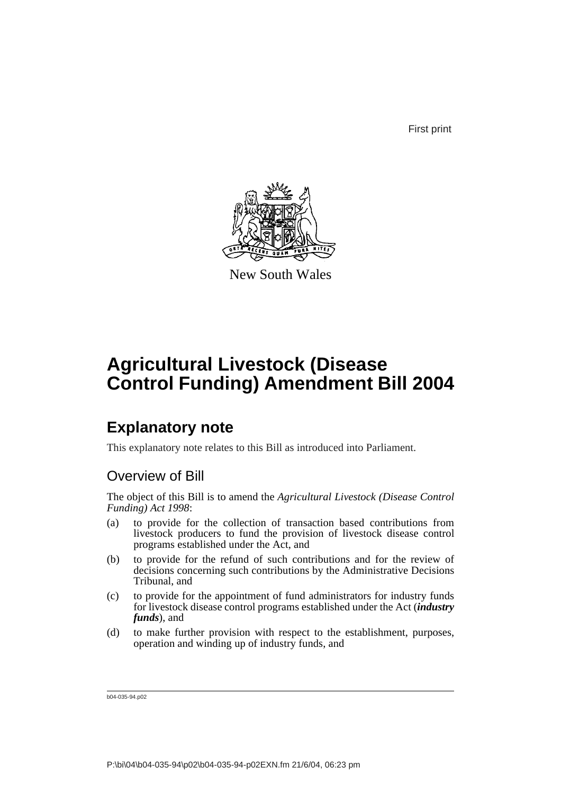First print



New South Wales

# **Agricultural Livestock (Disease Control Funding) Amendment Bill 2004**

## **Explanatory note**

This explanatory note relates to this Bill as introduced into Parliament.

## Overview of Bill

The object of this Bill is to amend the *Agricultural Livestock (Disease Control Funding) Act 1998*:

- (a) to provide for the collection of transaction based contributions from livestock producers to fund the provision of livestock disease control programs established under the Act, and
- (b) to provide for the refund of such contributions and for the review of decisions concerning such contributions by the Administrative Decisions Tribunal, and
- (c) to provide for the appointment of fund administrators for industry funds for livestock disease control programs established under the Act (*industry funds*), and
- (d) to make further provision with respect to the establishment, purposes, operation and winding up of industry funds, and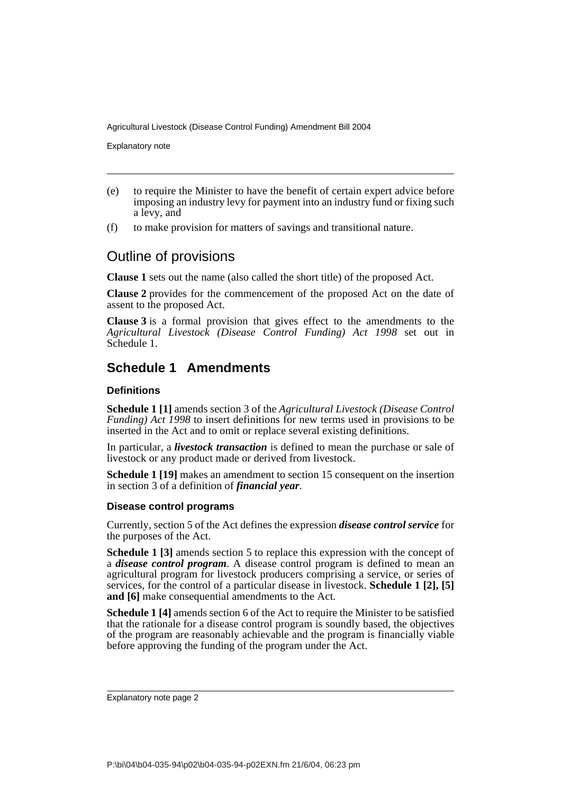Explanatory note

- (e) to require the Minister to have the benefit of certain expert advice before imposing an industry levy for payment into an industry fund or fixing such a levy, and
- (f) to make provision for matters of savings and transitional nature.

## Outline of provisions

**Clause 1** sets out the name (also called the short title) of the proposed Act.

**Clause 2** provides for the commencement of the proposed Act on the date of assent to the proposed Act.

**Clause 3** is a formal provision that gives effect to the amendments to the *Agricultural Livestock (Disease Control Funding) Act 1998* set out in Schedule 1.

### **Schedule 1 Amendments**

#### **Definitions**

**Schedule 1 [1]** amends section 3 of the *Agricultural Livestock (Disease Control Funding) Act 1998* to insert definitions for new terms used in provisions to be inserted in the Act and to omit or replace several existing definitions.

In particular, a *livestock transaction* is defined to mean the purchase or sale of livestock or any product made or derived from livestock.

**Schedule 1 [19]** makes an amendment to section 15 consequent on the insertion in section 3 of a definition of *financial year*.

#### **Disease control programs**

Currently, section 5 of the Act defines the expression *disease control service* for the purposes of the Act.

**Schedule 1 [3]** amends section 5 to replace this expression with the concept of a *disease control program*. A disease control program is defined to mean an agricultural program for livestock producers comprising a service, or series of services, for the control of a particular disease in livestock. **Schedule 1 [2], [5] and [6]** make consequential amendments to the Act.

**Schedule 1 [4]** amends section 6 of the Act to require the Minister to be satisfied that the rationale for a disease control program is soundly based, the objectives of the program are reasonably achievable and the program is financially viable before approving the funding of the program under the Act.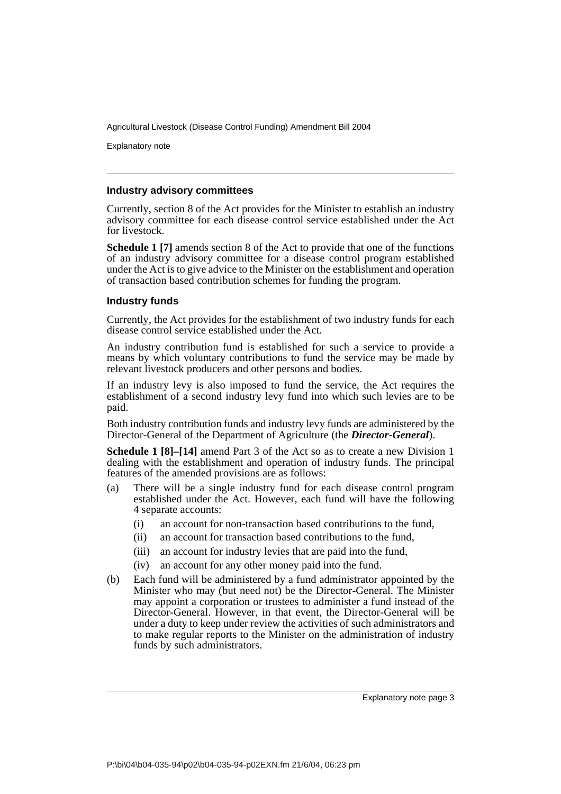Explanatory note

#### **Industry advisory committees**

Currently, section 8 of the Act provides for the Minister to establish an industry advisory committee for each disease control service established under the Act for livestock.

**Schedule 1 [7]** amends section 8 of the Act to provide that one of the functions of an industry advisory committee for a disease control program established under the Act is to give advice to the Minister on the establishment and operation of transaction based contribution schemes for funding the program.

#### **Industry funds**

Currently, the Act provides for the establishment of two industry funds for each disease control service established under the Act.

An industry contribution fund is established for such a service to provide a means by which voluntary contributions to fund the service may be made by relevant livestock producers and other persons and bodies.

If an industry levy is also imposed to fund the service, the Act requires the establishment of a second industry levy fund into which such levies are to be paid.

Both industry contribution funds and industry levy funds are administered by the Director-General of the Department of Agriculture (the *Director-General*).

**Schedule 1 [8]–[14]** amend Part 3 of the Act so as to create a new Division 1 dealing with the establishment and operation of industry funds. The principal features of the amended provisions are as follows:

- (a) There will be a single industry fund for each disease control program established under the Act. However, each fund will have the following 4 separate accounts:
	- (i) an account for non-transaction based contributions to the fund,
	- (ii) an account for transaction based contributions to the fund,
	- (iii) an account for industry levies that are paid into the fund,
	- (iv) an account for any other money paid into the fund.
- (b) Each fund will be administered by a fund administrator appointed by the Minister who may (but need not) be the Director-General. The Minister may appoint a corporation or trustees to administer a fund instead of the Director-General. However, in that event, the Director-General will be under a duty to keep under review the activities of such administrators and to make regular reports to the Minister on the administration of industry funds by such administrators.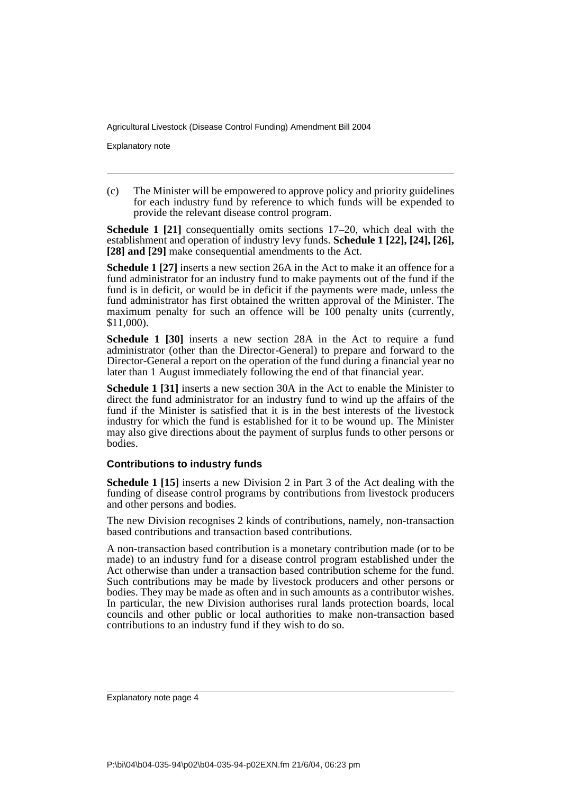Explanatory note

(c) The Minister will be empowered to approve policy and priority guidelines for each industry fund by reference to which funds will be expended to provide the relevant disease control program.

**Schedule 1 [21]** consequentially omits sections 17–20, which deal with the establishment and operation of industry levy funds. **Schedule 1 [22], [24], [26], [28] and [29]** make consequential amendments to the Act.

**Schedule 1 [27]** inserts a new section 26A in the Act to make it an offence for a fund administrator for an industry fund to make payments out of the fund if the fund is in deficit, or would be in deficit if the payments were made, unless the fund administrator has first obtained the written approval of the Minister. The maximum penalty for such an offence will be  $100$  penalty units (currently, \$11,000).

**Schedule 1 [30]** inserts a new section 28A in the Act to require a fund administrator (other than the Director-General) to prepare and forward to the Director-General a report on the operation of the fund during a financial year no later than 1 August immediately following the end of that financial year.

**Schedule 1 [31]** inserts a new section 30A in the Act to enable the Minister to direct the fund administrator for an industry fund to wind up the affairs of the fund if the Minister is satisfied that it is in the best interests of the livestock industry for which the fund is established for it to be wound up. The Minister may also give directions about the payment of surplus funds to other persons or bodies.

#### **Contributions to industry funds**

**Schedule 1 [15]** inserts a new Division 2 in Part 3 of the Act dealing with the funding of disease control programs by contributions from livestock producers and other persons and bodies.

The new Division recognises 2 kinds of contributions, namely, non-transaction based contributions and transaction based contributions.

A non-transaction based contribution is a monetary contribution made (or to be made) to an industry fund for a disease control program established under the Act otherwise than under a transaction based contribution scheme for the fund. Such contributions may be made by livestock producers and other persons or bodies. They may be made as often and in such amounts as a contributor wishes. In particular, the new Division authorises rural lands protection boards, local councils and other public or local authorities to make non-transaction based contributions to an industry fund if they wish to do so.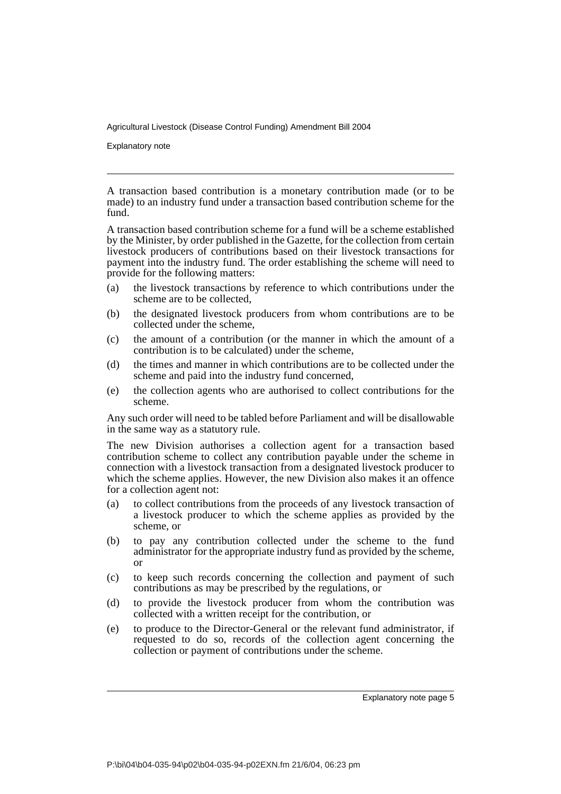Explanatory note

A transaction based contribution is a monetary contribution made (or to be made) to an industry fund under a transaction based contribution scheme for the fund.

A transaction based contribution scheme for a fund will be a scheme established by the Minister, by order published in the Gazette, for the collection from certain livestock producers of contributions based on their livestock transactions for payment into the industry fund. The order establishing the scheme will need to provide for the following matters:

- (a) the livestock transactions by reference to which contributions under the scheme are to be collected,
- (b) the designated livestock producers from whom contributions are to be collected under the scheme,
- (c) the amount of a contribution (or the manner in which the amount of a contribution is to be calculated) under the scheme,
- (d) the times and manner in which contributions are to be collected under the scheme and paid into the industry fund concerned,
- (e) the collection agents who are authorised to collect contributions for the scheme.

Any such order will need to be tabled before Parliament and will be disallowable in the same way as a statutory rule.

The new Division authorises a collection agent for a transaction based contribution scheme to collect any contribution payable under the scheme in connection with a livestock transaction from a designated livestock producer to which the scheme applies. However, the new Division also makes it an offence for a collection agent not:

- (a) to collect contributions from the proceeds of any livestock transaction of a livestock producer to which the scheme applies as provided by the scheme, or
- (b) to pay any contribution collected under the scheme to the fund administrator for the appropriate industry fund as provided by the scheme, or
- (c) to keep such records concerning the collection and payment of such contributions as may be prescribed by the regulations, or
- (d) to provide the livestock producer from whom the contribution was collected with a written receipt for the contribution, or
- (e) to produce to the Director-General or the relevant fund administrator, if requested to do so, records of the collection agent concerning the collection or payment of contributions under the scheme.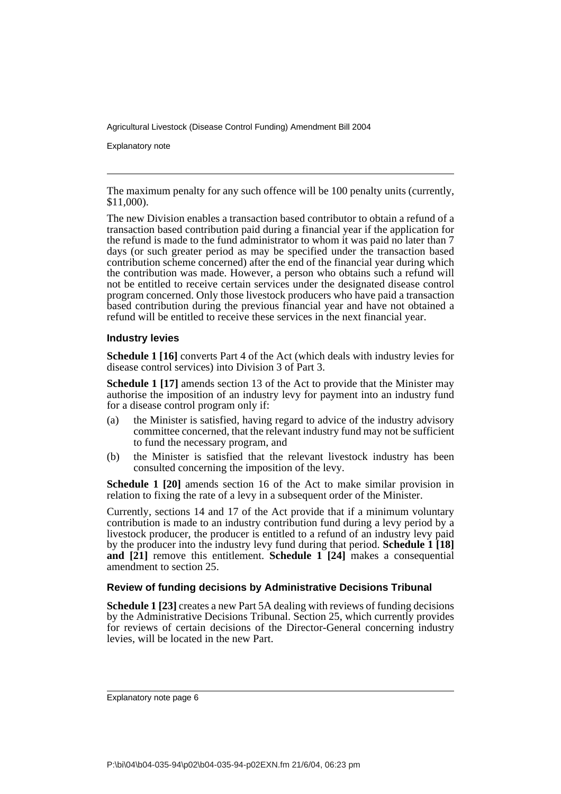Explanatory note

The maximum penalty for any such offence will be 100 penalty units (currently, \$11,000).

The new Division enables a transaction based contributor to obtain a refund of a transaction based contribution paid during a financial year if the application for the refund is made to the fund administrator to whom it was paid no later than 7 days (or such greater period as may be specified under the transaction based contribution scheme concerned) after the end of the financial year during which the contribution was made. However, a person who obtains such a refund will not be entitled to receive certain services under the designated disease control program concerned. Only those livestock producers who have paid a transaction based contribution during the previous financial year and have not obtained a refund will be entitled to receive these services in the next financial year.

#### **Industry levies**

**Schedule 1 [16]** converts Part 4 of the Act (which deals with industry levies for disease control services) into Division 3 of Part 3.

**Schedule 1 [17]** amends section 13 of the Act to provide that the Minister may authorise the imposition of an industry levy for payment into an industry fund for a disease control program only if:

- (a) the Minister is satisfied, having regard to advice of the industry advisory committee concerned, that the relevant industry fund may not be sufficient to fund the necessary program, and
- (b) the Minister is satisfied that the relevant livestock industry has been consulted concerning the imposition of the levy.

**Schedule 1 [20]** amends section 16 of the Act to make similar provision in relation to fixing the rate of a levy in a subsequent order of the Minister.

Currently, sections 14 and 17 of the Act provide that if a minimum voluntary contribution is made to an industry contribution fund during a levy period by a livestock producer, the producer is entitled to a refund of an industry levy paid by the producer into the industry levy fund during that period. **Schedule 1 [18] and**  $\begin{bmatrix} 21 \end{bmatrix}$  remove this entitlement. **Schedule 1** [24] makes a consequential amendment to section 25.

#### **Review of funding decisions by Administrative Decisions Tribunal**

**Schedule 1 [23]** creates a new Part 5A dealing with reviews of funding decisions by the Administrative Decisions Tribunal. Section 25, which currently provides for reviews of certain decisions of the Director-General concerning industry levies, will be located in the new Part.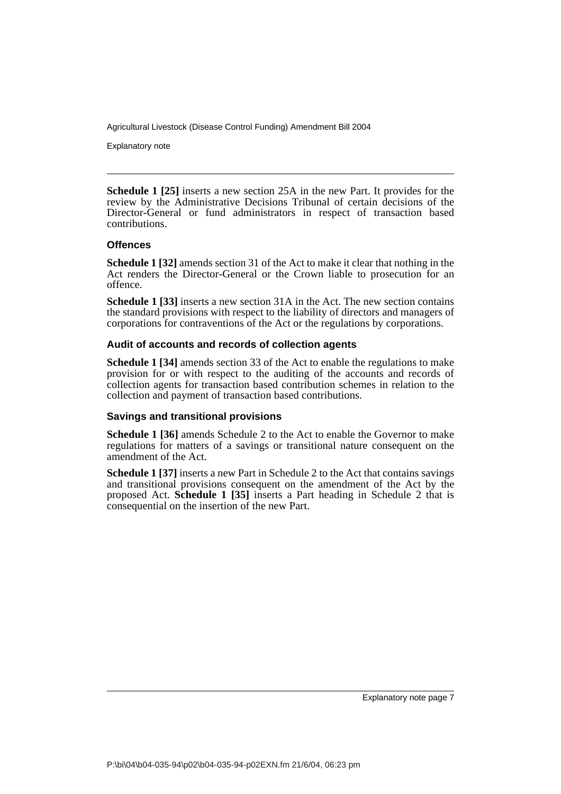Explanatory note

**Schedule 1 [25]** inserts a new section 25A in the new Part. It provides for the review by the Administrative Decisions Tribunal of certain decisions of the Director-General or fund administrators in respect of transaction based contributions.

#### **Offences**

**Schedule 1 [32]** amends section 31 of the Act to make it clear that nothing in the Act renders the Director-General or the Crown liable to prosecution for an offence.

**Schedule 1 [33]** inserts a new section 31A in the Act. The new section contains the standard provisions with respect to the liability of directors and managers of corporations for contraventions of the Act or the regulations by corporations.

#### **Audit of accounts and records of collection agents**

**Schedule 1 [34]** amends section 33 of the Act to enable the regulations to make provision for or with respect to the auditing of the accounts and records of collection agents for transaction based contribution schemes in relation to the collection and payment of transaction based contributions.

#### **Savings and transitional provisions**

**Schedule 1 [36]** amends Schedule 2 to the Act to enable the Governor to make regulations for matters of a savings or transitional nature consequent on the amendment of the Act.

**Schedule 1 [37]** inserts a new Part in Schedule 2 to the Act that contains savings and transitional provisions consequent on the amendment of the Act by the proposed Act. **Schedule 1 [35]** inserts a Part heading in Schedule 2 that is consequential on the insertion of the new Part.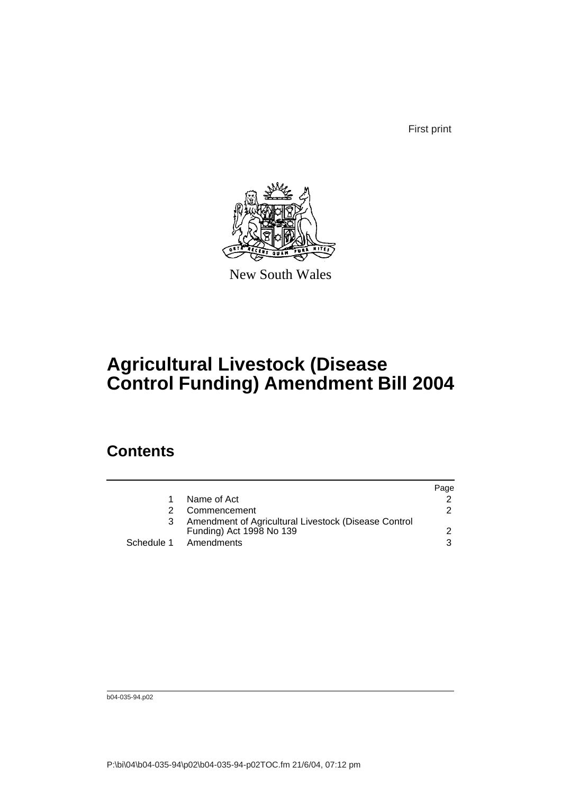First print



New South Wales

# **Agricultural Livestock (Disease Control Funding) Amendment Bill 2004**

## **Contents**

|                                                                                  | Page |
|----------------------------------------------------------------------------------|------|
| Name of Act                                                                      |      |
| Commencement                                                                     |      |
| Amendment of Agricultural Livestock (Disease Control<br>Funding) Act 1998 No 139 |      |
| Schedule 1 Amendments                                                            |      |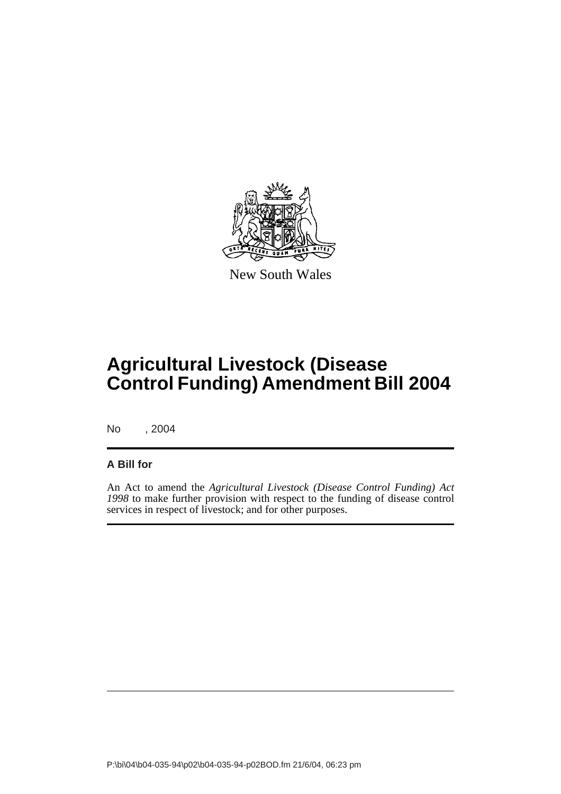

New South Wales

# **Agricultural Livestock (Disease Control Funding) Amendment Bill 2004**

No , 2004

### **A Bill for**

An Act to amend the *Agricultural Livestock (Disease Control Funding) Act 1998* to make further provision with respect to the funding of disease control services in respect of livestock; and for other purposes.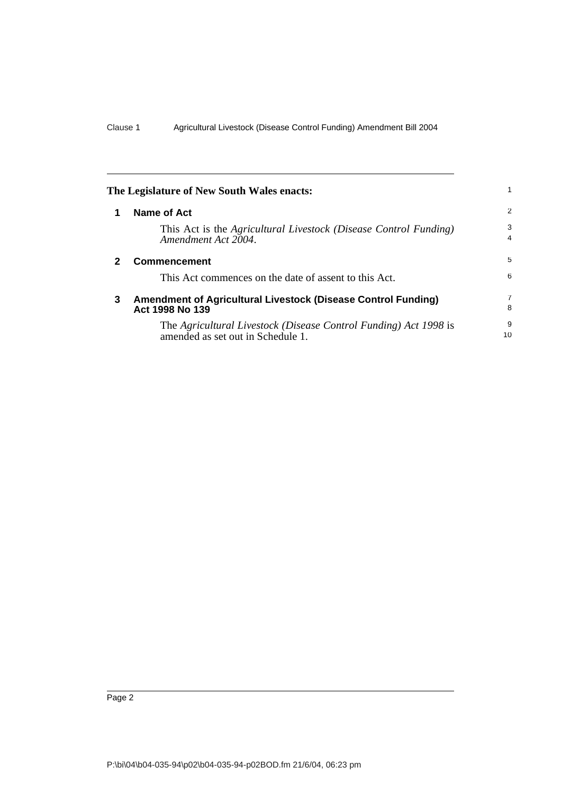<span id="page-11-2"></span><span id="page-11-1"></span><span id="page-11-0"></span>

| The Legislature of New South Wales enacts: |                                                                                                       |                     |  |
|--------------------------------------------|-------------------------------------------------------------------------------------------------------|---------------------|--|
|                                            | Name of Act                                                                                           | 2                   |  |
|                                            | This Act is the Agricultural Livestock (Disease Control Funding)<br>Amendment Act 2004.               | 3<br>$\overline{4}$ |  |
| 2                                          | <b>Commencement</b>                                                                                   | 5                   |  |
|                                            | This Act commences on the date of assent to this Act.                                                 | 6                   |  |
| 3                                          | Amendment of Agricultural Livestock (Disease Control Funding)<br>Act 1998 No 139                      | $\overline{7}$<br>8 |  |
|                                            | The Agricultural Livestock (Disease Control Funding) Act 1998 is<br>amended as set out in Schedule 1. | 9<br>10             |  |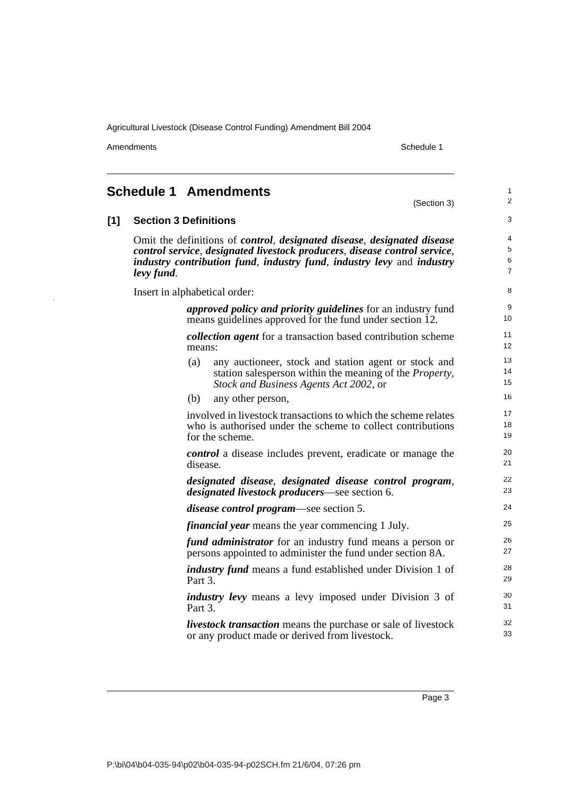Amendments Schedule 1

J.

(Section 3)

1 2

<span id="page-12-0"></span>

| $[1]$ | <b>Section 3 Definitions</b><br>Omit the definitions of <i>control</i> , <i>designated disease</i> , <i>designated disease</i><br>control service, designated livestock producers, disease control service,<br>industry contribution fund, industry fund, industry levy and industry<br>levy fund. |                |  |  |  |
|-------|----------------------------------------------------------------------------------------------------------------------------------------------------------------------------------------------------------------------------------------------------------------------------------------------------|----------------|--|--|--|
|       |                                                                                                                                                                                                                                                                                                    |                |  |  |  |
|       | <i>approved policy and priority guidelines</i> for an industry fund<br>means guidelines approved for the fund under section 12.                                                                                                                                                                    | 9<br>10        |  |  |  |
|       | <i>collection agent</i> for a transaction based contribution scheme<br>means:                                                                                                                                                                                                                      | 11<br>12       |  |  |  |
|       | any auctioneer, stock and station agent or stock and<br>(a)<br>station salesperson within the meaning of the <i>Property</i> ,<br>Stock and Business Agents Act 2002, or                                                                                                                           | 13<br>14<br>15 |  |  |  |
|       | (b)<br>any other person,                                                                                                                                                                                                                                                                           | 16             |  |  |  |
|       | involved in livestock transactions to which the scheme relates<br>who is authorised under the scheme to collect contributions<br>for the scheme.                                                                                                                                                   | 17<br>18<br>19 |  |  |  |
|       | <i>control</i> a disease includes prevent, eradicate or manage the<br>disease.                                                                                                                                                                                                                     | 20<br>21       |  |  |  |
|       | designated disease, designated disease control program,<br><i>designated livestock producers—see section 6.</i>                                                                                                                                                                                    | 22<br>23       |  |  |  |
|       | <i>disease control program—see section 5.</i>                                                                                                                                                                                                                                                      | 24             |  |  |  |
|       | <i>financial year</i> means the year commencing 1 July.                                                                                                                                                                                                                                            | 25             |  |  |  |
|       | fund administrator for an industry fund means a person or<br>persons appointed to administer the fund under section 8A.                                                                                                                                                                            | 26<br>27       |  |  |  |
|       | <i>industry fund</i> means a fund established under Division 1 of<br>Part 3.                                                                                                                                                                                                                       | 28<br>29       |  |  |  |
|       | <i>industry levy</i> means a levy imposed under Division 3 of<br>Part 3.                                                                                                                                                                                                                           | 30<br>31       |  |  |  |
|       | <i>livestock transaction</i> means the purchase or sale of livestock<br>or any product made or derived from livestock.                                                                                                                                                                             | 32<br>33       |  |  |  |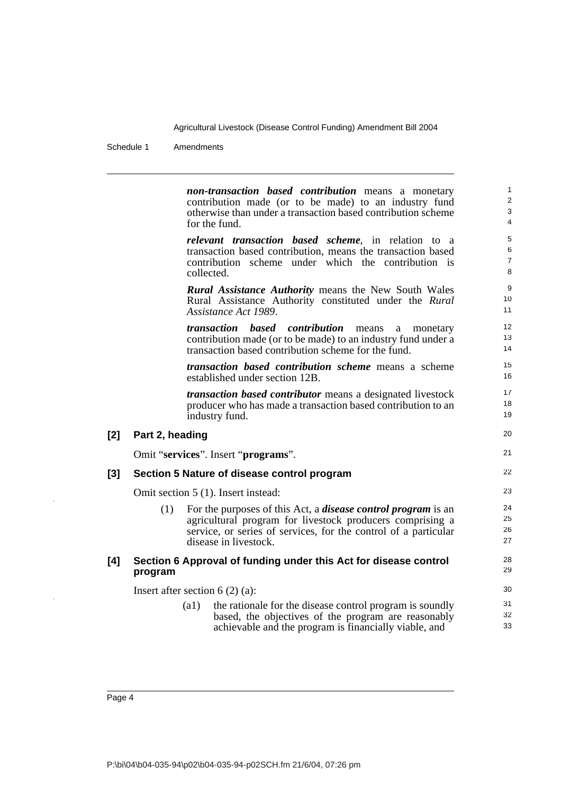Schedule 1 Amendments

*non-transaction based contribution* means a monetary contribution made (or to be made) to an industry fund otherwise than under a transaction based contribution scheme for the fund. *relevant transaction based scheme*, in relation to a transaction based contribution, means the transaction based contribution scheme under which the contribution is collected. *Rural Assistance Authority* means the New South Wales Rural Assistance Authority constituted under the *Rural Assistance Act 1989*. *transaction based contribution* means a monetary contribution made (or to be made) to an industry fund under a transaction based contribution scheme for the fund. *transaction based contribution scheme* means a scheme established under section 12B. *transaction based contributor* means a designated livestock producer who has made a transaction based contribution to an industry fund. **[2] Part 2, heading** Omit "**services**". Insert "**programs**". **[3] Section 5 Nature of disease control program** Omit section 5 (1). Insert instead: (1) For the purposes of this Act, a *disease control program* is an agricultural program for livestock producers comprising a service, or series of services, for the control of a particular disease in livestock. **[4] Section 6 Approval of funding under this Act for disease control program** Insert after section 6 (2) (a): (a1) the rationale for the disease control program is soundly based, the objectives of the program are reasonably achievable and the program is financially viable, and 1 2 3 4 5 6 7 8 9 10 11 12 13 14 15 16 17 18 19 20 21 22 23 24 25 26 27 28 29 30 31 32 33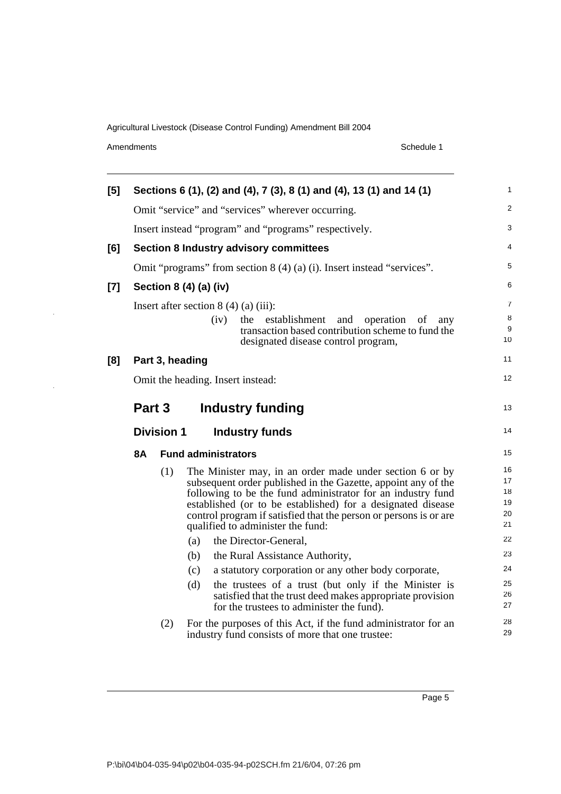Amendments Schedule 1

 $\ddot{\phantom{1}}$ 

| [5]   | Sections 6 (1), (2) and (4), 7 (3), 8 (1) and (4), 13 (1) and 14 (1)            |     |                                                                                                                                                                                                                                                                                                                                                                                                                                                                                                                                                                                                                                                                                     |                                                                      |  |  |  |
|-------|---------------------------------------------------------------------------------|-----|-------------------------------------------------------------------------------------------------------------------------------------------------------------------------------------------------------------------------------------------------------------------------------------------------------------------------------------------------------------------------------------------------------------------------------------------------------------------------------------------------------------------------------------------------------------------------------------------------------------------------------------------------------------------------------------|----------------------------------------------------------------------|--|--|--|
|       |                                                                                 |     | Omit "service" and "services" wherever occurring.                                                                                                                                                                                                                                                                                                                                                                                                                                                                                                                                                                                                                                   | $\overline{c}$                                                       |  |  |  |
|       |                                                                                 |     | Insert instead "program" and "programs" respectively.                                                                                                                                                                                                                                                                                                                                                                                                                                                                                                                                                                                                                               | 3                                                                    |  |  |  |
| [6]   |                                                                                 |     | <b>Section 8 Industry advisory committees</b>                                                                                                                                                                                                                                                                                                                                                                                                                                                                                                                                                                                                                                       | 4                                                                    |  |  |  |
|       |                                                                                 |     | Omit "programs" from section $8(4)(a)(i)$ . Insert instead "services".                                                                                                                                                                                                                                                                                                                                                                                                                                                                                                                                                                                                              | 5                                                                    |  |  |  |
| $[7]$ |                                                                                 |     | Section 8 (4) (a) (iv)                                                                                                                                                                                                                                                                                                                                                                                                                                                                                                                                                                                                                                                              | 6                                                                    |  |  |  |
|       |                                                                                 |     | Insert after section $8(4)(a)(iii)$ :<br>establishment<br>(iv)<br>the<br>and<br>operation<br>οf<br>any<br>transaction based contribution scheme to fund the<br>designated disease control program,                                                                                                                                                                                                                                                                                                                                                                                                                                                                                  | $\overline{7}$<br>8<br>9<br>10                                       |  |  |  |
| [8]   |                                                                                 |     | Part 3, heading                                                                                                                                                                                                                                                                                                                                                                                                                                                                                                                                                                                                                                                                     | 11                                                                   |  |  |  |
|       |                                                                                 |     | Omit the heading. Insert instead:                                                                                                                                                                                                                                                                                                                                                                                                                                                                                                                                                                                                                                                   | 12                                                                   |  |  |  |
|       | Part 3<br><b>Industry funding</b><br><b>Division 1</b><br><b>Industry funds</b> |     |                                                                                                                                                                                                                                                                                                                                                                                                                                                                                                                                                                                                                                                                                     |                                                                      |  |  |  |
|       | <b>8A</b>                                                                       |     | <b>Fund administrators</b>                                                                                                                                                                                                                                                                                                                                                                                                                                                                                                                                                                                                                                                          | 15                                                                   |  |  |  |
|       |                                                                                 | (1) | The Minister may, in an order made under section 6 or by<br>subsequent order published in the Gazette, appoint any of the<br>following to be the fund administrator for an industry fund<br>established (or to be established) for a designated disease<br>control program if satisfied that the person or persons is or are<br>qualified to administer the fund:<br>the Director-General,<br>(a)<br>(b)<br>the Rural Assistance Authority,<br>a statutory corporation or any other body corporate,<br>(c)<br>the trustees of a trust (but only if the Minister is<br>(d)<br>satisfied that the trust deed makes appropriate provision<br>for the trustees to administer the fund). | 16<br>17<br>18<br>19<br>20<br>21<br>22<br>23<br>24<br>25<br>26<br>27 |  |  |  |
|       |                                                                                 |     |                                                                                                                                                                                                                                                                                                                                                                                                                                                                                                                                                                                                                                                                                     |                                                                      |  |  |  |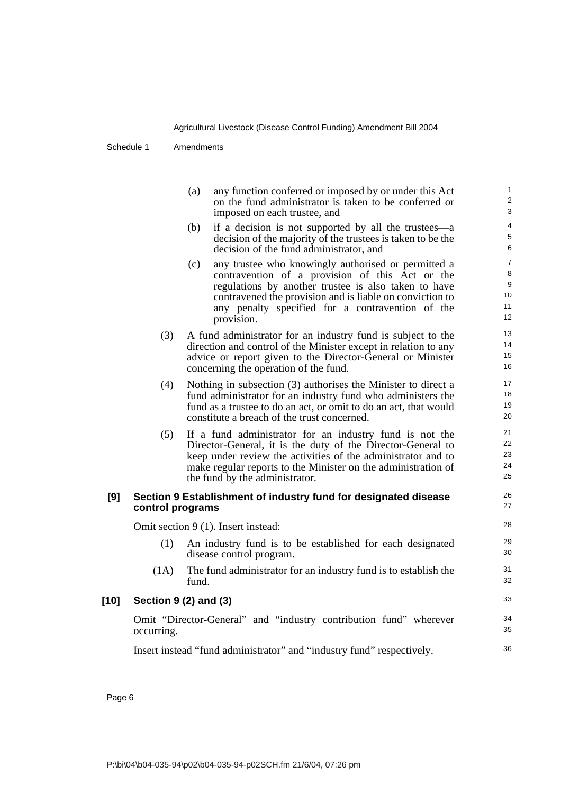Schedule 1 Amendments

|      |                  | (a)<br>any function conferred or imposed by or under this Act<br>on the fund administrator is taken to be conferred or<br>imposed on each trustee, and                                                                                                                                              |
|------|------------------|-----------------------------------------------------------------------------------------------------------------------------------------------------------------------------------------------------------------------------------------------------------------------------------------------------|
|      |                  | if a decision is not supported by all the trustees—a<br>(b)<br>decision of the majority of the trustees is taken to be the<br>decision of the fund administrator, and                                                                                                                               |
|      |                  | any trustee who knowingly authorised or permitted a<br>(c)<br>contravention of a provision of this Act or the<br>regulations by another trustee is also taken to have<br>contravened the provision and is liable on conviction to<br>any penalty specified for a contravention of the<br>provision. |
|      | (3)              | A fund administrator for an industry fund is subject to the<br>direction and control of the Minister except in relation to any<br>advice or report given to the Director-General or Minister<br>concerning the operation of the fund.                                                               |
|      | (4)              | Nothing in subsection (3) authorises the Minister to direct a<br>fund administrator for an industry fund who administers the<br>fund as a trustee to do an act, or omit to do an act, that would<br>constitute a breach of the trust concerned.                                                     |
|      | (5)              | If a fund administrator for an industry fund is not the<br>Director-General, it is the duty of the Director-General to<br>keep under review the activities of the administrator and to<br>make regular reports to the Minister on the administration of<br>the fund by the administrator.           |
| [9]  | control programs | Section 9 Establishment of industry fund for designated disease                                                                                                                                                                                                                                     |
|      |                  | Omit section 9 (1). Insert instead:                                                                                                                                                                                                                                                                 |
|      | (1)              | An industry fund is to be established for each designated<br>disease control program.                                                                                                                                                                                                               |
|      | (1A)             | The fund administrator for an industry fund is to establish the<br>fund.                                                                                                                                                                                                                            |
| [10] |                  | Section 9 (2) and (3)                                                                                                                                                                                                                                                                               |
|      | occurring.       | Omit "Director-General" and "industry contribution fund" wherever                                                                                                                                                                                                                                   |
|      |                  | Insert instead "fund administrator" and "industry fund" respectively.                                                                                                                                                                                                                               |
|      |                  |                                                                                                                                                                                                                                                                                                     |

 $\ddot{\phantom{a}}$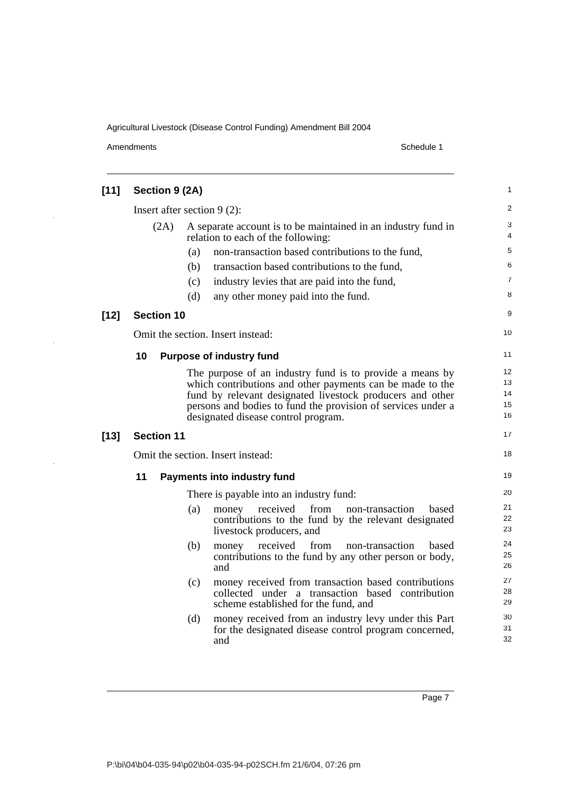Amendments Schedule 1

J.

J.

i.

| $[11]$ | Section 9 (2A)    |                                                                                                                                                                                                                                                                                           |                            |  |
|--------|-------------------|-------------------------------------------------------------------------------------------------------------------------------------------------------------------------------------------------------------------------------------------------------------------------------------------|----------------------------|--|
|        |                   | Insert after section $9(2)$ :                                                                                                                                                                                                                                                             | $\overline{2}$             |  |
|        | (2A)              | A separate account is to be maintained in an industry fund in<br>relation to each of the following:                                                                                                                                                                                       | 3<br>4                     |  |
|        |                   | non-transaction based contributions to the fund,<br>(a)                                                                                                                                                                                                                                   | 5                          |  |
|        |                   | transaction based contributions to the fund,<br>(b)                                                                                                                                                                                                                                       | 6                          |  |
|        |                   | industry levies that are paid into the fund,<br>(c)                                                                                                                                                                                                                                       | 7                          |  |
|        |                   | (d)<br>any other money paid into the fund.                                                                                                                                                                                                                                                | 8                          |  |
| $[12]$ | <b>Section 10</b> |                                                                                                                                                                                                                                                                                           | 9                          |  |
|        |                   | Omit the section. Insert instead:                                                                                                                                                                                                                                                         | 10                         |  |
|        | 10                | <b>Purpose of industry fund</b>                                                                                                                                                                                                                                                           | 11                         |  |
|        |                   | The purpose of an industry fund is to provide a means by<br>which contributions and other payments can be made to the<br>fund by relevant designated livestock producers and other<br>persons and bodies to fund the provision of services under a<br>designated disease control program. | 12<br>13<br>14<br>15<br>16 |  |
| $[13]$ | <b>Section 11</b> |                                                                                                                                                                                                                                                                                           | 17                         |  |
|        |                   | Omit the section. Insert instead:                                                                                                                                                                                                                                                         | 18                         |  |
|        | 11                | <b>Payments into industry fund</b>                                                                                                                                                                                                                                                        | 19                         |  |
|        |                   | There is payable into an industry fund:                                                                                                                                                                                                                                                   | 20                         |  |
|        |                   | received<br>from non-transaction<br>(a)<br>money<br>based<br>contributions to the fund by the relevant designated<br>livestock producers, and                                                                                                                                             | 21<br>22<br>23             |  |
|        |                   | money received<br>from<br>non-transaction<br>(b)<br>based<br>contributions to the fund by any other person or body,<br>and                                                                                                                                                                | 24<br>25<br>26             |  |
|        |                   | money received from transaction based contributions<br>(c)<br>collected under a transaction based contribution<br>scheme established for the fund, and                                                                                                                                    | 27<br>28<br>29             |  |
|        |                   | money received from an industry levy under this Part<br>(d)<br>for the designated disease control program concerned,<br>and                                                                                                                                                               | 30<br>31<br>32             |  |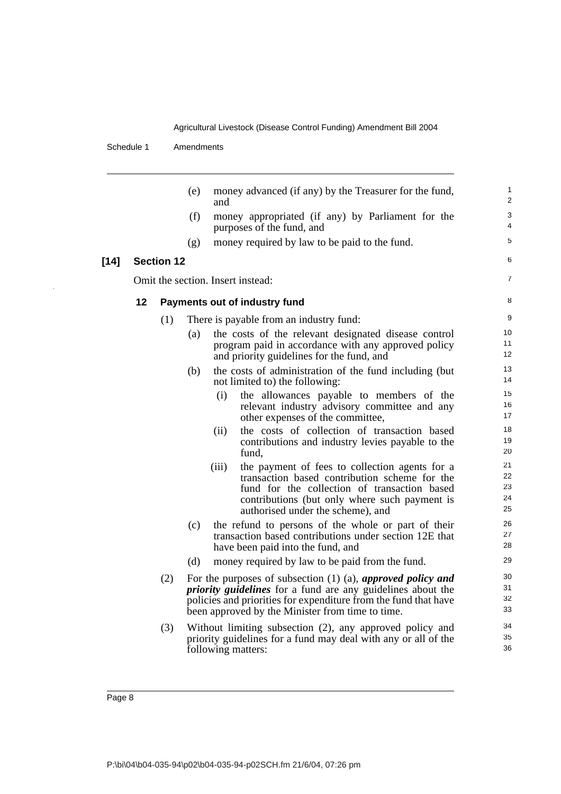Schedule 1 Amendments

 $[14]$ 

|    | (e)<br>money advanced (if any) by the Treasurer for the fund,<br>and |     |                                                                                                                                                                                                                                                               |                             |  |
|----|----------------------------------------------------------------------|-----|---------------------------------------------------------------------------------------------------------------------------------------------------------------------------------------------------------------------------------------------------------------|-----------------------------|--|
|    |                                                                      | (f) | money appropriated (if any) by Parliament for the<br>purposes of the fund, and                                                                                                                                                                                | 3<br>4                      |  |
|    |                                                                      | (g) | money required by law to be paid to the fund.                                                                                                                                                                                                                 | 5                           |  |
|    | <b>Section 12</b>                                                    |     |                                                                                                                                                                                                                                                               | 6                           |  |
|    |                                                                      |     | Omit the section. Insert instead:                                                                                                                                                                                                                             | $\overline{7}$              |  |
| 12 |                                                                      |     | Payments out of industry fund                                                                                                                                                                                                                                 | 8                           |  |
|    | (1)                                                                  |     | There is payable from an industry fund:                                                                                                                                                                                                                       | 9                           |  |
|    |                                                                      | (a) | the costs of the relevant designated disease control<br>program paid in accordance with any approved policy<br>and priority guidelines for the fund, and                                                                                                      | 10<br>11<br>12 <sup>2</sup> |  |
|    |                                                                      | (b) | the costs of administration of the fund including (but)<br>not limited to) the following:                                                                                                                                                                     | 13<br>14                    |  |
|    |                                                                      |     | (i)<br>the allowances payable to members of the<br>relevant industry advisory committee and any<br>other expenses of the committee,                                                                                                                           | 15<br>16<br>17              |  |
|    |                                                                      |     | the costs of collection of transaction based<br>(ii)<br>contributions and industry levies payable to the<br>fund,                                                                                                                                             | 18<br>19<br>20              |  |
|    |                                                                      |     | the payment of fees to collection agents for a<br>(iii)<br>transaction based contribution scheme for the<br>fund for the collection of transaction based<br>contributions (but only where such payment is<br>authorised under the scheme), and                | 21<br>22<br>23<br>24<br>25  |  |
|    |                                                                      | (c) | the refund to persons of the whole or part of their<br>transaction based contributions under section 12E that<br>have been paid into the fund, and                                                                                                            | 26<br>27<br>28              |  |
|    |                                                                      | (d) | money required by law to be paid from the fund.                                                                                                                                                                                                               | 29                          |  |
|    | (2)                                                                  |     | For the purposes of subsection $(1)$ $(a)$ , approved policy and<br><i>priority guidelines</i> for a fund are any guidelines about the<br>policies and priorities for expenditure from the fund that have<br>been approved by the Minister from time to time. | 30<br>31<br>32<br>33        |  |
|    | (3)                                                                  |     | Without limiting subsection (2), any approved policy and<br>priority guidelines for a fund may deal with any or all of the<br>following matters:                                                                                                              | 34<br>35<br>36              |  |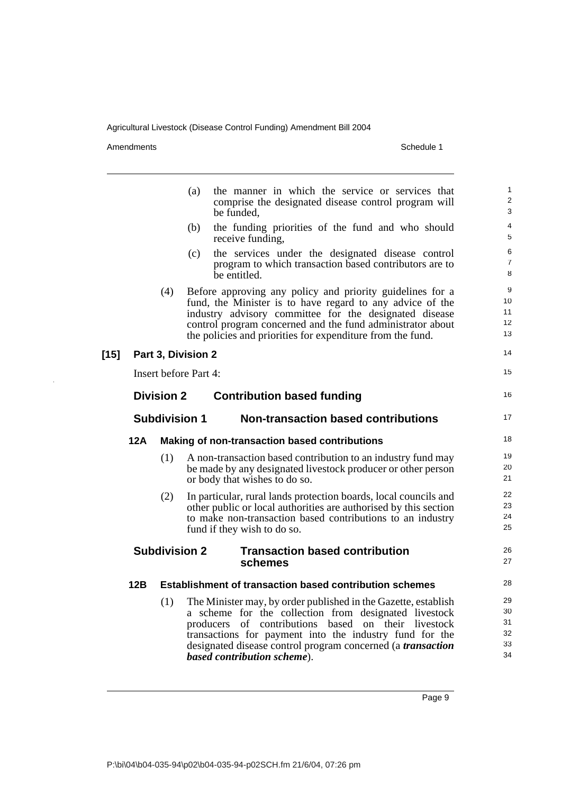Amendments Schedule 1

 $\bar{z}$ 

|        |                                                                          |                      | (a)                          | the manner in which the service or services that<br>comprise the designated disease control program will<br>be funded,                                                                                                                                                                                                                         | $\mathbf{1}$<br>$\overline{2}$<br>3 |  |
|--------|--------------------------------------------------------------------------|----------------------|------------------------------|------------------------------------------------------------------------------------------------------------------------------------------------------------------------------------------------------------------------------------------------------------------------------------------------------------------------------------------------|-------------------------------------|--|
|        |                                                                          |                      | (b)                          | the funding priorities of the fund and who should<br>receive funding,                                                                                                                                                                                                                                                                          | 4<br>5                              |  |
|        |                                                                          |                      | (c)                          | the services under the designated disease control<br>program to which transaction based contributors are to<br>be entitled.                                                                                                                                                                                                                    | 6<br>$\overline{7}$<br>8            |  |
|        |                                                                          | (4)                  |                              | Before approving any policy and priority guidelines for a<br>fund, the Minister is to have regard to any advice of the<br>industry advisory committee for the designated disease<br>control program concerned and the fund administrator about<br>the policies and priorities for expenditure from the fund.                                   | 9<br>10<br>11<br>12<br>13           |  |
| $[15]$ |                                                                          |                      | Part 3, Division 2           |                                                                                                                                                                                                                                                                                                                                                | 14                                  |  |
|        |                                                                          |                      | <b>Insert before Part 4:</b> |                                                                                                                                                                                                                                                                                                                                                | 15                                  |  |
|        |                                                                          | <b>Division 2</b>    |                              | <b>Contribution based funding</b>                                                                                                                                                                                                                                                                                                              | 16                                  |  |
|        |                                                                          | <b>Subdivision 1</b> |                              | <b>Non-transaction based contributions</b>                                                                                                                                                                                                                                                                                                     | 17                                  |  |
|        | 12A                                                                      |                      |                              | <b>Making of non-transaction based contributions</b>                                                                                                                                                                                                                                                                                           | 18                                  |  |
|        |                                                                          | (1)                  |                              | A non-transaction based contribution to an industry fund may<br>be made by any designated livestock producer or other person<br>or body that wishes to do so.                                                                                                                                                                                  | 19<br>20<br>21                      |  |
|        |                                                                          | (2)                  |                              | In particular, rural lands protection boards, local councils and<br>other public or local authorities are authorised by this section<br>to make non-transaction based contributions to an industry<br>fund if they wish to do so.                                                                                                              | 22<br>23<br>24<br>25                |  |
|        | <b>Subdivision 2</b><br><b>Transaction based contribution</b><br>schemes |                      |                              |                                                                                                                                                                                                                                                                                                                                                |                                     |  |
|        | 12B                                                                      |                      |                              | <b>Establishment of transaction based contribution schemes</b>                                                                                                                                                                                                                                                                                 | 28                                  |  |
|        |                                                                          | (1)                  |                              | The Minister may, by order published in the Gazette, establish<br>a scheme for the collection from designated livestock<br>producers of contributions based on their livestock<br>transactions for payment into the industry fund for the<br>designated disease control program concerned (a <i>transaction</i><br>based contribution scheme). | 29<br>30<br>31<br>32<br>33<br>34    |  |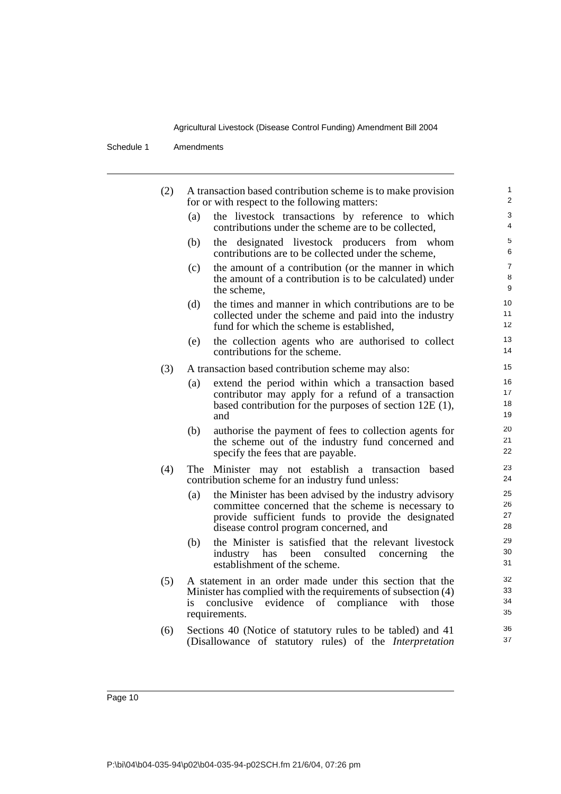Schedule 1 Amendments

| (2) |           | A transaction based contribution scheme is to make provision<br>for or with respect to the following matters:                                                                                                 | 1<br>$\overline{2}$      |
|-----|-----------|---------------------------------------------------------------------------------------------------------------------------------------------------------------------------------------------------------------|--------------------------|
|     | (a)       | the livestock transactions by reference to which<br>contributions under the scheme are to be collected,                                                                                                       | 3<br>$\overline{4}$      |
|     | (b)       | designated livestock producers from whom<br>the<br>contributions are to be collected under the scheme,                                                                                                        | 5<br>6                   |
|     | (c)       | the amount of a contribution (or the manner in which<br>the amount of a contribution is to be calculated) under<br>the scheme,                                                                                | $\overline{7}$<br>8<br>9 |
|     | (d)       | the times and manner in which contributions are to be<br>collected under the scheme and paid into the industry<br>fund for which the scheme is established,                                                   | 10<br>11<br>12           |
|     | (e)       | the collection agents who are authorised to collect<br>contributions for the scheme.                                                                                                                          | 13<br>14                 |
| (3) |           | A transaction based contribution scheme may also:                                                                                                                                                             | 15                       |
|     | (a)       | extend the period within which a transaction based<br>contributor may apply for a refund of a transaction<br>based contribution for the purposes of section $12E(1)$ ,<br>and                                 | 16<br>17<br>18<br>19     |
|     | (b)       | authorise the payment of fees to collection agents for<br>the scheme out of the industry fund concerned and<br>specify the fees that are payable.                                                             | 20<br>21<br>22           |
| (4) |           | The Minister may not establish a transaction<br>based<br>contribution scheme for an industry fund unless:                                                                                                     | 23<br>24                 |
|     | (a)       | the Minister has been advised by the industry advisory<br>committee concerned that the scheme is necessary to<br>provide sufficient funds to provide the designated<br>disease control program concerned, and | 25<br>26<br>27<br>28     |
|     | (b)       | the Minister is satisfied that the relevant livestock<br>industry<br>has been<br>consulted<br>concerning<br>the<br>establishment of the scheme.                                                               | 29<br>30<br>31           |
|     | (5)<br>is | A statement in an order made under this section that the<br>Minister has complied with the requirements of subsection (4)<br>evidence of compliance<br>conclusive<br>with<br>those<br>requirements.           | 32<br>33<br>34<br>35     |
| (6) |           | Sections 40 (Notice of statutory rules to be tabled) and 41<br>(Disallowance of statutory rules) of the Interpretation                                                                                        | 36<br>37                 |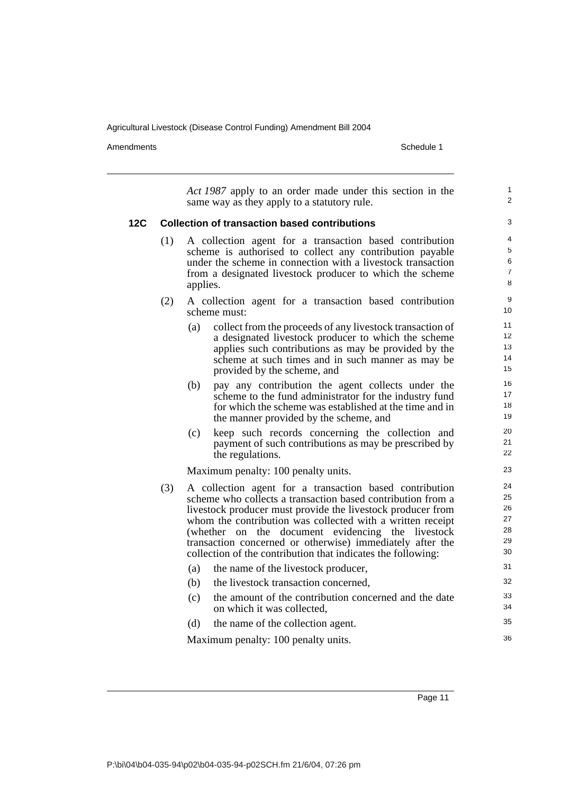Amendments Schedule 1

*Act 1987* apply to an order made under this section in the same way as they apply to a statutory rule. **12C Collection of transaction based contributions** (1) A collection agent for a transaction based contribution scheme is authorised to collect any contribution payable under the scheme in connection with a livestock transaction from a designated livestock producer to which the scheme applies. (2) A collection agent for a transaction based contribution scheme must: (a) collect from the proceeds of any livestock transaction of a designated livestock producer to which the scheme applies such contributions as may be provided by the scheme at such times and in such manner as may be provided by the scheme, and (b) pay any contribution the agent collects under the scheme to the fund administrator for the industry fund for which the scheme was established at the time and in the manner provided by the scheme, and (c) keep such records concerning the collection and payment of such contributions as may be prescribed by the regulations. Maximum penalty: 100 penalty units. (3) A collection agent for a transaction based contribution scheme who collects a transaction based contribution from a livestock producer must provide the livestock producer from whom the contribution was collected with a written receipt (whether on the document evidencing the livestock transaction concerned or otherwise) immediately after the collection of the contribution that indicates the following: (a) the name of the livestock producer, (b) the livestock transaction concerned, (c) the amount of the contribution concerned and the date on which it was collected, (d) the name of the collection agent. Maximum penalty: 100 penalty units. 1  $\overline{2}$ 3 4 5 6 7 8 **9** 10 11 12 13 14 15 16 17 18 19 20 21 22 23 24 25 26 27 28 29 30 31 32 33 34 35 36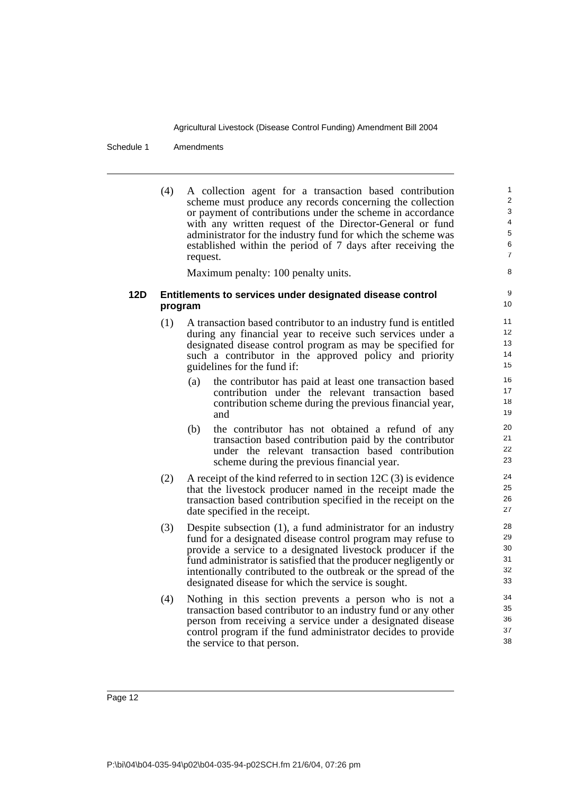Schedule 1 Amendments

(4) A collection agent for a transaction based contribution scheme must produce any records concerning the collection or payment of contributions under the scheme in accordance with any written request of the Director-General or fund administrator for the industry fund for which the scheme was established within the period of 7 days after receiving the request.

Maximum penalty: 100 penalty units.

#### **12D Entitlements to services under designated disease control program**

- (1) A transaction based contributor to an industry fund is entitled during any financial year to receive such services under a designated disease control program as may be specified for such a contributor in the approved policy and priority guidelines for the fund if:
	- (a) the contributor has paid at least one transaction based contribution under the relevant transaction based contribution scheme during the previous financial year, and
	- (b) the contributor has not obtained a refund of any transaction based contribution paid by the contributor under the relevant transaction based contribution scheme during the previous financial year.
- (2) A receipt of the kind referred to in section 12C (3) is evidence that the livestock producer named in the receipt made the transaction based contribution specified in the receipt on the date specified in the receipt.
- (3) Despite subsection (1), a fund administrator for an industry fund for a designated disease control program may refuse to provide a service to a designated livestock producer if the fund administrator is satisfied that the producer negligently or intentionally contributed to the outbreak or the spread of the designated disease for which the service is sought.
- (4) Nothing in this section prevents a person who is not a transaction based contributor to an industry fund or any other person from receiving a service under a designated disease control program if the fund administrator decides to provide the service to that person.

Page 12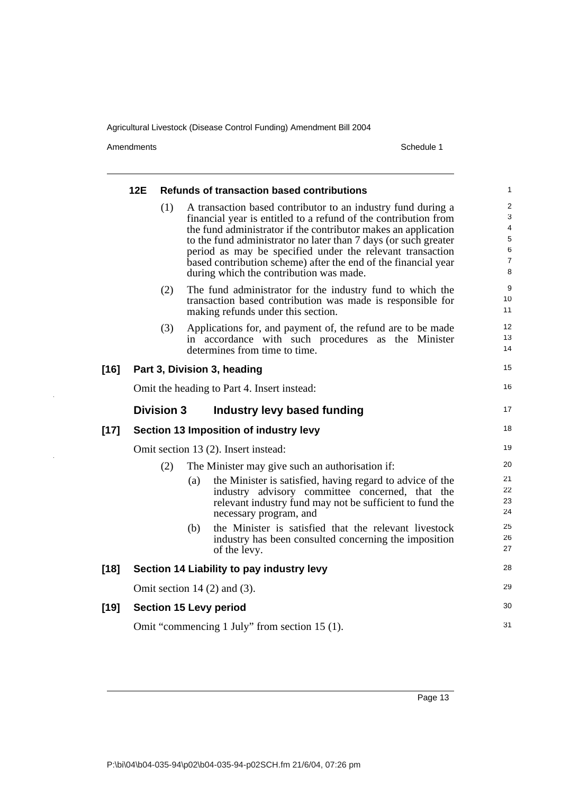Amendments Schedule 1

l,

 $\bar{z}$ 

|        | 12E                                                                                                                                                       | <b>Refunds of transaction based contributions</b> |     |                                                                                                                                                                                                                                                                                                                                                                                                                                                |                                              |  |  |
|--------|-----------------------------------------------------------------------------------------------------------------------------------------------------------|---------------------------------------------------|-----|------------------------------------------------------------------------------------------------------------------------------------------------------------------------------------------------------------------------------------------------------------------------------------------------------------------------------------------------------------------------------------------------------------------------------------------------|----------------------------------------------|--|--|
|        |                                                                                                                                                           | (1)                                               |     | A transaction based contributor to an industry fund during a<br>financial year is entitled to a refund of the contribution from<br>the fund administrator if the contributor makes an application<br>to the fund administrator no later than 7 days (or such greater<br>period as may be specified under the relevant transaction<br>based contribution scheme) after the end of the financial year<br>during which the contribution was made. | 2<br>3<br>4<br>5<br>6<br>$\overline{7}$<br>8 |  |  |
|        |                                                                                                                                                           | (2)                                               |     | The fund administrator for the industry fund to which the<br>transaction based contribution was made is responsible for<br>making refunds under this section.                                                                                                                                                                                                                                                                                  | 9<br>10<br>11                                |  |  |
|        | (3)<br>Applications for, and payment of, the refund are to be made<br>in accordance with such procedures as the Minister<br>determines from time to time. |                                                   |     |                                                                                                                                                                                                                                                                                                                                                                                                                                                |                                              |  |  |
| $[16]$ |                                                                                                                                                           |                                                   |     | Part 3, Division 3, heading                                                                                                                                                                                                                                                                                                                                                                                                                    | 15                                           |  |  |
|        |                                                                                                                                                           | Omit the heading to Part 4. Insert instead:       |     |                                                                                                                                                                                                                                                                                                                                                                                                                                                |                                              |  |  |
|        |                                                                                                                                                           | <b>Division 3</b>                                 |     | Industry levy based funding                                                                                                                                                                                                                                                                                                                                                                                                                    | 17                                           |  |  |
| $[17]$ |                                                                                                                                                           |                                                   |     | Section 13 Imposition of industry levy                                                                                                                                                                                                                                                                                                                                                                                                         | 18                                           |  |  |
|        |                                                                                                                                                           |                                                   |     | Omit section 13 (2). Insert instead:                                                                                                                                                                                                                                                                                                                                                                                                           | 19                                           |  |  |
|        |                                                                                                                                                           | (2)                                               |     | The Minister may give such an authorisation if:                                                                                                                                                                                                                                                                                                                                                                                                | 20                                           |  |  |
|        |                                                                                                                                                           |                                                   | (a) | the Minister is satisfied, having regard to advice of the<br>industry advisory committee concerned, that the<br>relevant industry fund may not be sufficient to fund the<br>necessary program, and                                                                                                                                                                                                                                             | 21<br>22<br>23<br>24                         |  |  |
|        |                                                                                                                                                           |                                                   | (b) | the Minister is satisfied that the relevant livestock<br>industry has been consulted concerning the imposition<br>of the levy.                                                                                                                                                                                                                                                                                                                 | 25<br>26<br>27                               |  |  |
| $[18]$ |                                                                                                                                                           |                                                   |     | Section 14 Liability to pay industry levy                                                                                                                                                                                                                                                                                                                                                                                                      | 28                                           |  |  |
|        |                                                                                                                                                           |                                                   |     | Omit section $14(2)$ and $(3)$ .                                                                                                                                                                                                                                                                                                                                                                                                               | 29                                           |  |  |
| $[19]$ |                                                                                                                                                           |                                                   |     | <b>Section 15 Levy period</b>                                                                                                                                                                                                                                                                                                                                                                                                                  | 30                                           |  |  |
|        |                                                                                                                                                           | Omit "commencing 1 July" from section 15 (1).     |     |                                                                                                                                                                                                                                                                                                                                                                                                                                                |                                              |  |  |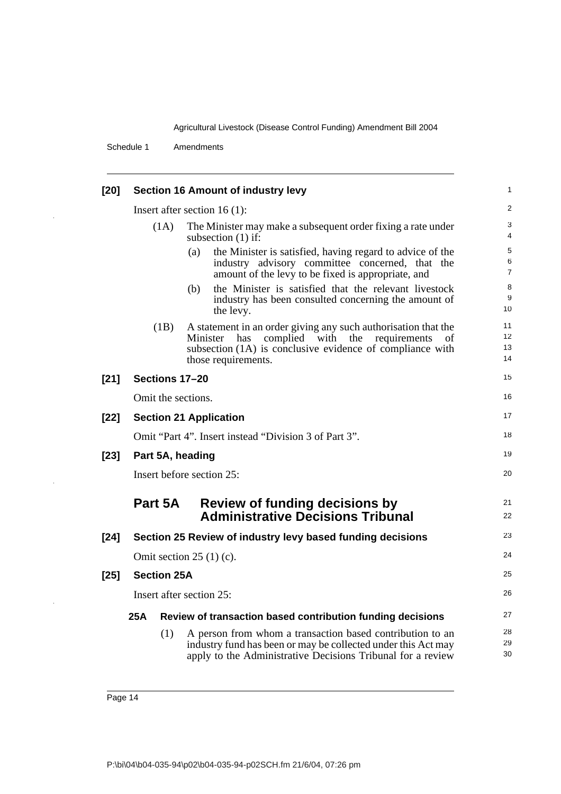Schedule 1 Amendments

J.

 $\bar{z}$ 

l,

| $[20]$ | <b>Section 16 Amount of industry levy</b> |                           |                                                                                                                                                                                                               |                      |  |  |
|--------|-------------------------------------------|---------------------------|---------------------------------------------------------------------------------------------------------------------------------------------------------------------------------------------------------------|----------------------|--|--|
|        |                                           |                           | Insert after section $16(1)$ :                                                                                                                                                                                | $\overline{a}$       |  |  |
|        |                                           | (1A)                      | The Minister may make a subsequent order fixing a rate under<br>subsection $(1)$ if:                                                                                                                          |                      |  |  |
|        |                                           |                           | the Minister is satisfied, having regard to advice of the<br>(a)<br>industry advisory committee concerned, that the<br>amount of the levy to be fixed is appropriate, and                                     | 5<br>6<br>7          |  |  |
|        |                                           |                           | the Minister is satisfied that the relevant livestock<br>(b)<br>industry has been consulted concerning the amount of<br>the levy.                                                                             | 8<br>9<br>10         |  |  |
|        |                                           | (1B)                      | A statement in an order giving any such authorisation that the<br>complied with the requirements<br>Minister<br>has<br>of<br>subsection (1A) is conclusive evidence of compliance with<br>those requirements. | 11<br>12<br>13<br>14 |  |  |
| $[21]$ |                                           |                           | Sections 17-20                                                                                                                                                                                                | 15                   |  |  |
|        | Omit the sections.                        |                           |                                                                                                                                                                                                               |                      |  |  |
| $[22]$ | <b>Section 21 Application</b>             |                           |                                                                                                                                                                                                               |                      |  |  |
|        |                                           |                           | Omit "Part 4". Insert instead "Division 3 of Part 3".                                                                                                                                                         | 18                   |  |  |
| $[23]$ |                                           |                           | Part 5A, heading                                                                                                                                                                                              | 19                   |  |  |
|        | Insert before section 25:                 |                           |                                                                                                                                                                                                               |                      |  |  |
|        |                                           | Part 5A                   | Review of funding decisions by<br><b>Administrative Decisions Tribunal</b>                                                                                                                                    | 21<br>22             |  |  |
| $[24]$ |                                           |                           | Section 25 Review of industry levy based funding decisions                                                                                                                                                    | 23                   |  |  |
|        |                                           | Omit section $25(1)(c)$ . |                                                                                                                                                                                                               |                      |  |  |
| $[25]$ |                                           | <b>Section 25A</b>        |                                                                                                                                                                                                               | 25                   |  |  |
|        |                                           | Insert after section 25:  |                                                                                                                                                                                                               |                      |  |  |
|        | 25A                                       |                           | Review of transaction based contribution funding decisions                                                                                                                                                    | 27                   |  |  |
|        |                                           | (1)                       | A person from whom a transaction based contribution to an<br>industry fund has been or may be collected under this Act may<br>apply to the Administrative Decisions Tribunal for a review                     | 28<br>29<br>30       |  |  |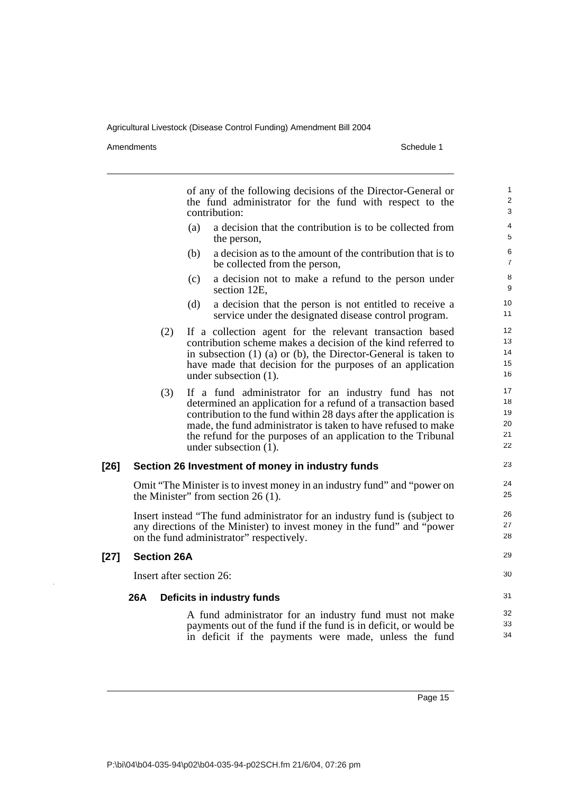Amendments Schedule 1

of any of the following decisions of the Director-General or the fund administrator for the fund with respect to the contribution: (a) a decision that the contribution is to be collected from the person, (b) a decision as to the amount of the contribution that is to be collected from the person, (c) a decision not to make a refund to the person under section 12E, (d) a decision that the person is not entitled to receive a service under the designated disease control program. (2) If a collection agent for the relevant transaction based contribution scheme makes a decision of the kind referred to in subsection (1) (a) or (b), the Director-General is taken to have made that decision for the purposes of an application under subsection (1). (3) If a fund administrator for an industry fund has not determined an application for a refund of a transaction based contribution to the fund within 28 days after the application is made, the fund administrator is taken to have refused to make the refund for the purposes of an application to the Tribunal under subsection (1). **[26] Section 26 Investment of money in industry funds** Omit "The Minister is to invest money in an industry fund" and "power on the Minister" from section 26 (1). Insert instead "The fund administrator for an industry fund is (subject to any directions of the Minister) to invest money in the fund" and "power on the fund administrator" respectively. **[27] Section 26A** Insert after section 26: **26A Deficits in industry funds** A fund administrator for an industry fund must not make payments out of the fund if the fund is in deficit, or would be in deficit if the payments were made, unless the fund 1  $\overline{2}$ 3 4 5 6 7 8 9 10 11 12 13 14 15 16 17 18 19 20 21 22 23 24 25 26 27 28  $29$ 30 31 32 33 34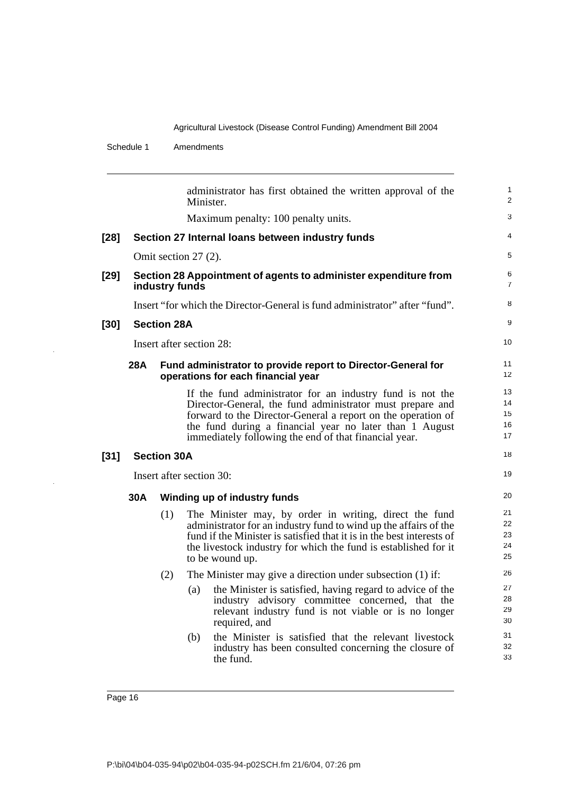Schedule 1 Amendments

|        |                          |                    | administrator has first obtained the written approval of the<br>Minister.                                                                                                                                                                                                                                  | 1<br>$\overline{2}$        |
|--------|--------------------------|--------------------|------------------------------------------------------------------------------------------------------------------------------------------------------------------------------------------------------------------------------------------------------------------------------------------------------------|----------------------------|
|        |                          |                    | Maximum penalty: 100 penalty units.                                                                                                                                                                                                                                                                        | 3                          |
| $[28]$ |                          |                    | Section 27 Internal loans between industry funds                                                                                                                                                                                                                                                           | 4                          |
|        |                          |                    | Omit section 27 (2).                                                                                                                                                                                                                                                                                       | 5                          |
| [29]   |                          | industry funds     | Section 28 Appointment of agents to administer expenditure from                                                                                                                                                                                                                                            | 6<br>$\overline{7}$        |
|        |                          |                    | Insert "for which the Director-General is fund administrator" after "fund".                                                                                                                                                                                                                                | 8                          |
| [30]   |                          | <b>Section 28A</b> |                                                                                                                                                                                                                                                                                                            | $\boldsymbol{9}$           |
|        |                          |                    | Insert after section 28:                                                                                                                                                                                                                                                                                   | 10                         |
|        | 28A                      |                    | Fund administrator to provide report to Director-General for<br>operations for each financial year                                                                                                                                                                                                         | 11<br>12                   |
|        |                          |                    | If the fund administrator for an industry fund is not the<br>Director-General, the fund administrator must prepare and<br>forward to the Director-General a report on the operation of<br>the fund during a financial year no later than 1 August<br>immediately following the end of that financial year. | 13<br>14<br>15<br>16<br>17 |
| [31]   |                          | <b>Section 30A</b> |                                                                                                                                                                                                                                                                                                            | 18                         |
|        | Insert after section 30: |                    |                                                                                                                                                                                                                                                                                                            |                            |
|        | 30A                      |                    | Winding up of industry funds                                                                                                                                                                                                                                                                               | 20                         |
|        |                          | (1)                | The Minister may, by order in writing, direct the fund<br>administrator for an industry fund to wind up the affairs of the<br>fund if the Minister is satisfied that it is in the best interests of<br>the livestock industry for which the fund is established for it<br>to be wound up.                  | 21<br>22<br>23<br>24<br>25 |
|        |                          | (2)                | The Minister may give a direction under subsection (1) if:                                                                                                                                                                                                                                                 | 26                         |
|        |                          |                    | the Minister is satisfied, having regard to advice of the<br>(a)<br>industry advisory committee concerned, that the<br>relevant industry fund is not viable or is no longer<br>required, and                                                                                                               | 27<br>28<br>29<br>30       |
|        |                          |                    | the Minister is satisfied that the relevant livestock<br>(b)<br>industry has been consulted concerning the closure of<br>the fund.                                                                                                                                                                         | 31<br>32<br>33             |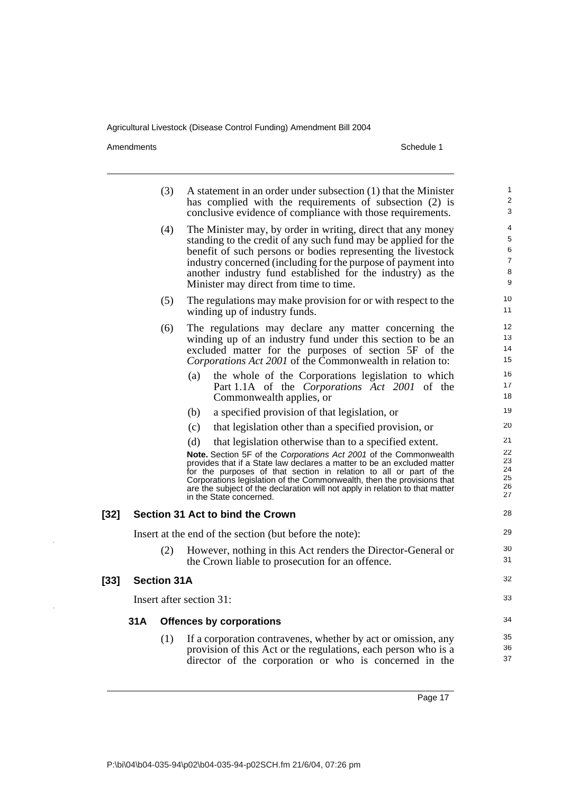Amendments Schedule 1

[32]

[33]

|     | (3)                                                                                                                                                                                                                                                                                                                                                                            | A statement in an order under subsection (1) that the Minister<br>has complied with the requirements of subsection (2) is<br>conclusive evidence of compliance with those requirements.                                                                                                                                                                                                                 | 1<br>2<br>3                      |
|-----|--------------------------------------------------------------------------------------------------------------------------------------------------------------------------------------------------------------------------------------------------------------------------------------------------------------------------------------------------------------------------------|---------------------------------------------------------------------------------------------------------------------------------------------------------------------------------------------------------------------------------------------------------------------------------------------------------------------------------------------------------------------------------------------------------|----------------------------------|
|     | The Minister may, by order in writing, direct that any money<br>(4)<br>standing to the credit of any such fund may be applied for the<br>benefit of such persons or bodies representing the livestock<br>industry concerned (including for the purpose of payment into<br>another industry fund established for the industry) as the<br>Minister may direct from time to time. |                                                                                                                                                                                                                                                                                                                                                                                                         |                                  |
|     | (5)                                                                                                                                                                                                                                                                                                                                                                            | The regulations may make provision for or with respect to the<br>winding up of industry funds.                                                                                                                                                                                                                                                                                                          | 10<br>11                         |
|     | (6)                                                                                                                                                                                                                                                                                                                                                                            | The regulations may declare any matter concerning the<br>winding up of an industry fund under this section to be an<br>excluded matter for the purposes of section 5F of the<br>Corporations Act 2001 of the Commonwealth in relation to:                                                                                                                                                               |                                  |
|     |                                                                                                                                                                                                                                                                                                                                                                                | the whole of the Corporations legislation to which<br>(a)<br>Part 1.1A of the <i>Corporations Act 2001</i> of the<br>Commonwealth applies, or                                                                                                                                                                                                                                                           | 16<br>17<br>18                   |
|     |                                                                                                                                                                                                                                                                                                                                                                                | a specified provision of that legislation, or<br>(b)                                                                                                                                                                                                                                                                                                                                                    | 19                               |
|     |                                                                                                                                                                                                                                                                                                                                                                                | (c)<br>that legislation other than a specified provision, or                                                                                                                                                                                                                                                                                                                                            | 20                               |
|     |                                                                                                                                                                                                                                                                                                                                                                                | (d)<br>that legislation otherwise than to a specified extent.                                                                                                                                                                                                                                                                                                                                           | 21                               |
|     |                                                                                                                                                                                                                                                                                                                                                                                | Note. Section 5F of the Corporations Act 2001 of the Commonwealth<br>provides that if a State law declares a matter to be an excluded matter<br>for the purposes of that section in relation to all or part of the<br>Corporations legislation of the Commonwealth, then the provisions that<br>are the subject of the declaration will not apply in relation to that matter<br>in the State concerned. | 22<br>23<br>24<br>25<br>26<br>27 |
|     |                                                                                                                                                                                                                                                                                                                                                                                | Section 31 Act to bind the Crown                                                                                                                                                                                                                                                                                                                                                                        | 28                               |
|     |                                                                                                                                                                                                                                                                                                                                                                                | Insert at the end of the section (but before the note):                                                                                                                                                                                                                                                                                                                                                 | 29                               |
|     | (2)                                                                                                                                                                                                                                                                                                                                                                            | However, nothing in this Act renders the Director-General or<br>the Crown liable to prosecution for an offence.                                                                                                                                                                                                                                                                                         | 30<br>31                         |
|     | <b>Section 31A</b>                                                                                                                                                                                                                                                                                                                                                             |                                                                                                                                                                                                                                                                                                                                                                                                         | 32                               |
|     |                                                                                                                                                                                                                                                                                                                                                                                | Insert after section 31:                                                                                                                                                                                                                                                                                                                                                                                | 33                               |
| 31A |                                                                                                                                                                                                                                                                                                                                                                                | <b>Offences by corporations</b>                                                                                                                                                                                                                                                                                                                                                                         |                                  |
|     | (1)                                                                                                                                                                                                                                                                                                                                                                            | If a corporation contravenes, whether by act or omission, any<br>provision of this Act or the regulations, each person who is a<br>director of the corporation or who is concerned in the                                                                                                                                                                                                               | 35<br>36<br>37                   |

Page 17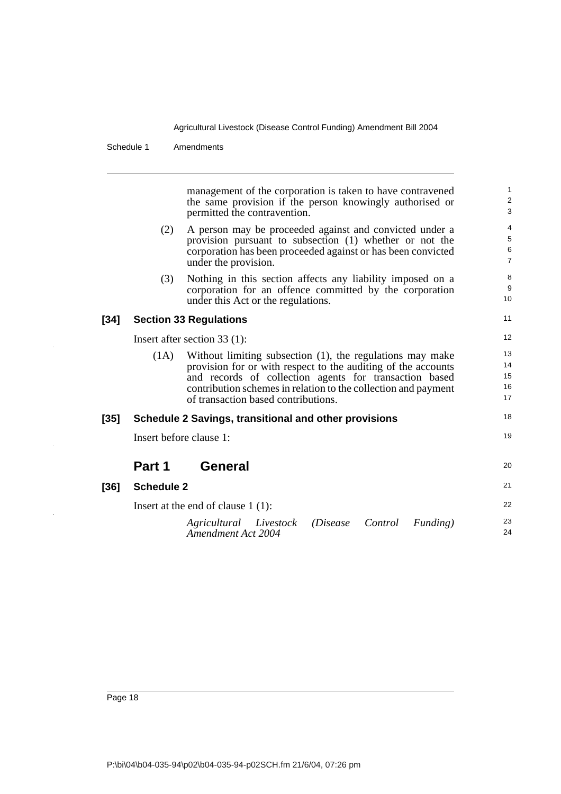#### Schedule 1 Amendments

management of the corporation is taken to have contravened the same provision if the person knowingly authorised or permitted the contravention. (2) A person may be proceeded against and convicted under a provision pursuant to subsection (1) whether or not the corporation has been proceeded against or has been convicted under the provision. (3) Nothing in this section affects any liability imposed on a corporation for an offence committed by the corporation under this Act or the regulations. **[34] Section 33 Regulations** Insert after section 33 (1): (1A) Without limiting subsection (1), the regulations may make provision for or with respect to the auditing of the accounts and records of collection agents for transaction based contribution schemes in relation to the collection and payment of transaction based contributions. **[35] Schedule 2 Savings, transitional and other provisions** Insert before clause 1: **Part 1 General [36] Schedule 2** Insert at the end of clause 1 (1): 1 2 3 4 5 6 7 8 9 10 11 12 13 14 15 16 17 18 19 20 21 22

> *Agricultural Livestock (Disease Control Funding) Amendment Act 2004* 23 24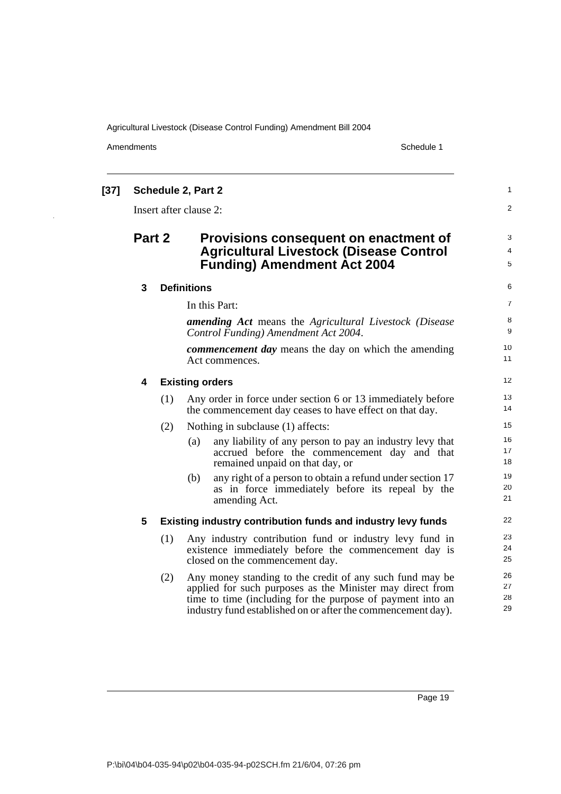Amendments Schedule 1

 $\ddot{\phantom{a}}$ 

| [37] |                |     | <b>Schedule 2, Part 2</b>                                                                                                                                                                                                                           | 1                    |
|------|----------------|-----|-----------------------------------------------------------------------------------------------------------------------------------------------------------------------------------------------------------------------------------------------------|----------------------|
|      |                |     | Insert after clause 2:                                                                                                                                                                                                                              | $\overline{2}$       |
|      | Part 2         |     | Provisions consequent on enactment of<br><b>Agricultural Livestock (Disease Control</b><br><b>Funding) Amendment Act 2004</b>                                                                                                                       | 3<br>4<br>5          |
|      | $\mathbf{3}$   |     | <b>Definitions</b>                                                                                                                                                                                                                                  | 6                    |
|      |                |     | In this Part:                                                                                                                                                                                                                                       | 7                    |
|      |                |     | <b>amending Act</b> means the Agricultural Livestock (Disease<br>Control Funding) Amendment Act 2004.                                                                                                                                               | 8<br>9               |
|      |                |     | <b><i>commencement day</i></b> means the day on which the amending<br>Act commences.                                                                                                                                                                | 10<br>11             |
|      | 4              |     | <b>Existing orders</b>                                                                                                                                                                                                                              | 12                   |
|      |                | (1) | Any order in force under section 6 or 13 immediately before<br>the commencement day ceases to have effect on that day.                                                                                                                              | 13<br>14             |
|      |                | (2) | Nothing in subclause (1) affects:                                                                                                                                                                                                                   | 15                   |
|      |                |     | (a)<br>any liability of any person to pay an industry levy that<br>accrued before the commencement day and that<br>remained unpaid on that day, or                                                                                                  | 16<br>17<br>18       |
|      |                |     | any right of a person to obtain a refund under section 17<br>(b)<br>as in force immediately before its repeal by the<br>amending Act.                                                                                                               | 19<br>20<br>21       |
|      | $5\phantom{1}$ |     | Existing industry contribution funds and industry levy funds                                                                                                                                                                                        | 22                   |
|      |                | (1) | Any industry contribution fund or industry levy fund in<br>existence immediately before the commencement day is<br>closed on the commencement day.                                                                                                  | 23<br>24<br>25       |
|      |                | (2) | Any money standing to the credit of any such fund may be<br>applied for such purposes as the Minister may direct from<br>time to time (including for the purpose of payment into an<br>industry fund established on or after the commencement day). | 26<br>27<br>28<br>29 |
|      |                |     |                                                                                                                                                                                                                                                     |                      |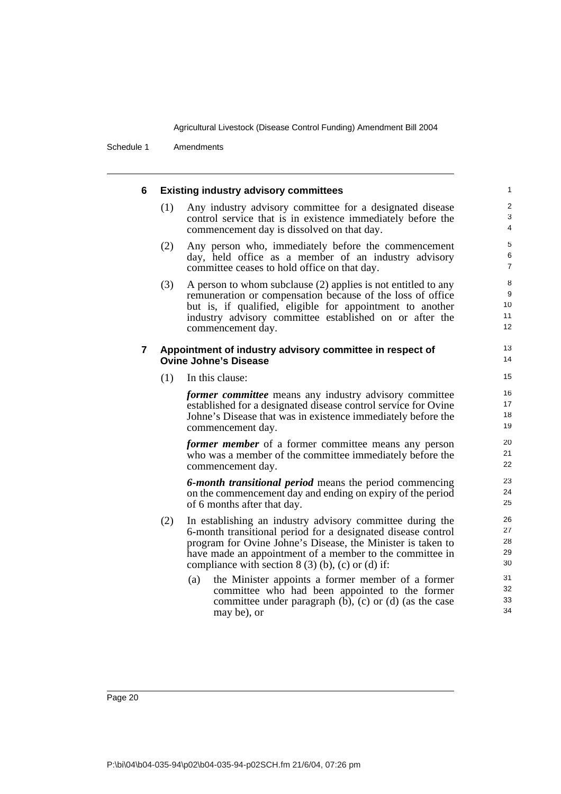Schedule 1 Amendments

| 6 |     | <b>Existing industry advisory committees</b>                                                                                                                                                                                                                                                               | $\mathbf{1}$                  |
|---|-----|------------------------------------------------------------------------------------------------------------------------------------------------------------------------------------------------------------------------------------------------------------------------------------------------------------|-------------------------------|
|   | (1) | Any industry advisory committee for a designated disease<br>control service that is in existence immediately before the<br>commencement day is dissolved on that day.                                                                                                                                      | $\overline{2}$<br>3<br>4      |
|   | (2) | Any person who, immediately before the commencement<br>day, held office as a member of an industry advisory<br>committee ceases to hold office on that day.                                                                                                                                                | 5<br>$\,6$<br>$\overline{7}$  |
|   | (3) | A person to whom subclause (2) applies is not entitled to any<br>remuneration or compensation because of the loss of office<br>but is, if qualified, eligible for appointment to another<br>industry advisory committee established on or after the<br>commencement day.                                   | $\, 8$<br>9<br>10<br>11<br>12 |
| 7 |     | Appointment of industry advisory committee in respect of<br><b>Ovine Johne's Disease</b>                                                                                                                                                                                                                   | 13<br>14                      |
|   | (1) | In this clause:                                                                                                                                                                                                                                                                                            | 15                            |
|   |     | <i>former committee</i> means any industry advisory committee<br>established for a designated disease control service for Ovine<br>Johne's Disease that was in existence immediately before the<br>commencement day.                                                                                       | 16<br>17<br>18<br>19          |
|   |     | <i>former member</i> of a former committee means any person<br>who was a member of the committee immediately before the<br>commencement day.                                                                                                                                                               | 20<br>21<br>22                |
|   |     | 6-month transitional period means the period commencing<br>on the commencement day and ending on expiry of the period<br>of 6 months after that day.                                                                                                                                                       | 23<br>24<br>25                |
|   | (2) | In establishing an industry advisory committee during the<br>6-month transitional period for a designated disease control<br>program for Ovine Johne's Disease, the Minister is taken to<br>have made an appointment of a member to the committee in<br>compliance with section $8(3)(b)$ , (c) or (d) if: | 26<br>27<br>28<br>29<br>30    |
|   |     | the Minister appoints a former member of a former<br>(a)<br>committee who had been appointed to the former<br>committee under paragraph $(b)$ , $(c)$ or $(d)$ (as the case<br>may be), or                                                                                                                 | 31<br>32<br>33<br>34          |